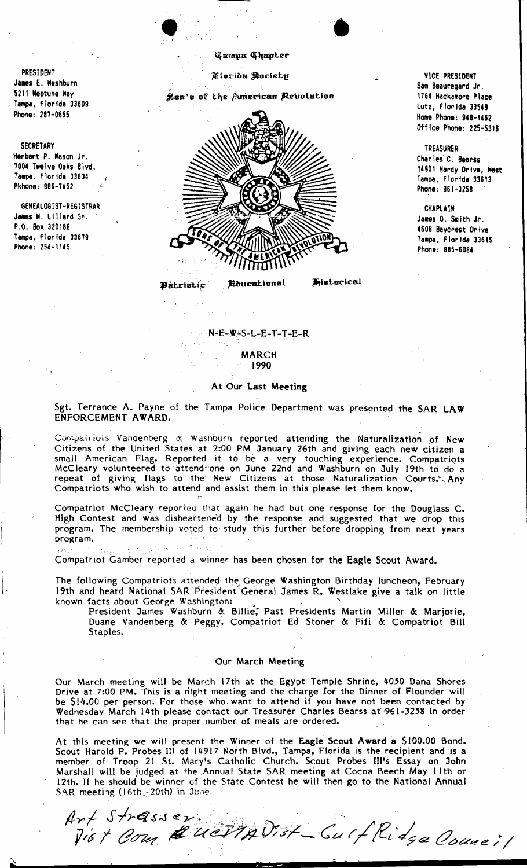## **Gamou Chapter**

.'

Kioridu Soriety

Ron's of the American Revolution

.. .



## Educational Fistorical Batrictic

VICE PRESIDENT Sam Beauregard Jr . 1764 Hackamore Place Lutz, Florida 33549 Home Phone: 948-1462 Office Phone: 225-5316

TREASURER Charles' C. Bearss 14901 Hardy Drive, Nest Tampa, Florida 33613 Phone: 961-3258

CHAPLAIN James O. Smith Jr. .608 Bayerest Drive Tampa, Florida 33615 Phone: 885-6084

 $N-E-W-S-L-E-T-T-E-R$ 

MARCH 1990

## At Our Last Meeting

Sgt. Terrance A. Payne of the Tampa Police Department was presented the SAR LAW ENFORCEMENT AWARD.

Compatriots Vandenberg & Washburn reported attending the Naturalization of New Citizens of the United States at 2:00 PM January 26th and giving each new citizen a small American Flag. Reported it to be a very touching experience. Compatriots McCleary volunteered to attend" 'one on June 22nd and Washburn on July 19th to do a repeat of giving flags to the' New Citizens at those Naturalization Courts:·. Any Compatriots who wish to attend and assist them in this please let them know.

Compatriot McCleary reported that again he had but one response for the Douglass C. High Contest and was disheartened by the response and suggested that we drop this program. The membership voted to'study this further before dropping from next years program.

Compatriot Gamber reported a winner has been chosen for the Eagle Scout Award.

The following Compatriots attended the George Washington Birthday luncheon, February 19th and heard National SAR 'Presidenf' General James R. Westlake give a talk on little known facts about George Washington:

President James Washburn & Billie; Past Presidents Martin Miller & Marjorie, Duane Vandenberg &:Peggy~ Compatriot Ed Stoner & Fifi &: Compatriot Bill Staples.

## Our March Meeting

Our March meeting will be March 17th at the Egypt Temple Shrine, 4050 Dana Shores Drive at 7:00 PM. This is a night meeting and the charge for the Dinner of Flounder will be \$14.00 per person. For those who want to attend if you have not been contacted by Wednesday March '14th please contact our Treasurer Charles Bearss af'961-3258 in order that he can see that the proper number of meals are ordered.

At this meeting we will present the Winner of the Eagle Scout Award a \$100.00 Bond. Scout Harold P. Probes III of 14917 North Blvd., Tampa, Florida is the recipient and is a member of Troop 21 St. Mary's Catholic Church. Scout Probes Ill's Essay on John Marshall will be judged at the Annual State SAR meeting at Cocoa Beech May 11 th or 12th. If he should be winner of' the State ,Contest he will then go to the National Annual SAR meeting  $(16th,-20th)$  in June.

Art Strasser<br>Jist Com & UCTIAVIST \_ Surf Ridge Couneil

PRESIDENT James E. Washburn 5211 Neptune Way . Tampa, Florida 33609 Phone: 287-0655

SECRETARY Herbert P. Mason Jr. 7004 Twelve Oaks Blvd. Tampa, Florida 33634 Pkhone: 886-7452

GENEALOGIST-REGISTRAR James W. Lillard Sr. P.O. Box 320186 Tampa, Florida 33679 Phone: 254-1145

i/··· '